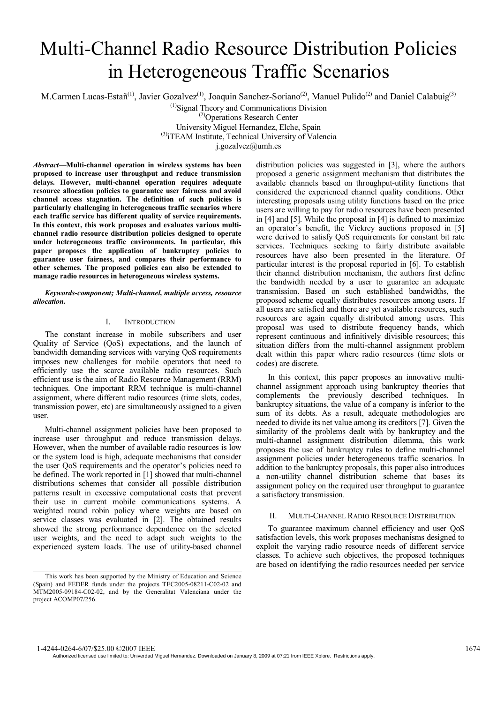# Multi-Channel Radio Resource Distribution Policies in Heterogeneous Traffic Scenarios

M.Carmen Lucas-Estañ<sup>(1)</sup>, Javier Gozalvez<sup>(1)</sup>, Joaquin Sanchez-Soriano<sup>(2)</sup>, Manuel Pulido<sup>(2)</sup> and Daniel Calabuig<sup>(3)</sup>

 $<sup>(1)</sup>$ Signal Theory and Communications Division</sup> (2)Operations Research Center University Miguel Hernandez, Elche, Spain

(3)iTEAM Institute, Technical University of Valencia

j.gozalvez@umh.es

*Abstract***—Multi-channel operation in wireless systems has been proposed to increase user throughput and reduce transmission delays. However, multi-channel operation requires adequate resource allocation policies to guarantee user fairness and avoid channel access stagnation. The definition of such policies is particularly challenging in heterogeneous traffic scenarios where each traffic service has different quality of service requirements. In this context, this work proposes and evaluates various multichannel radio resource distribution policies designed to operate under heterogeneous traffic environments. In particular, this paper proposes the application of bankruptcy policies to guarantee user fairness, and compares their performance to other schemes. The proposed policies can also be extended to manage radio resources in heterogeneous wireless systems.** 

*Keywords-component; Multi-channel, multiple access, resource allocation.* 

## I. INTRODUCTION

The constant increase in mobile subscribers and user Quality of Service (QoS) expectations, and the launch of bandwidth demanding services with varying QoS requirements imposes new challenges for mobile operators that need to efficiently use the scarce available radio resources. Such efficient use is the aim of Radio Resource Management (RRM) techniques. One important RRM technique is multi-channel assignment, where different radio resources (time slots, codes, transmission power, etc) are simultaneously assigned to a given user.

Multi-channel assignment policies have been proposed to increase user throughput and reduce transmission delays. However, when the number of available radio resources is low or the system load is high, adequate mechanisms that consider the user QoS requirements and the operator's policies need to be defined. The work reported in [1] showed that multi-channel distributions schemes that consider all possible distribution patterns result in excessive computational costs that prevent their use in current mobile communications systems. A weighted round robin policy where weights are based on service classes was evaluated in [2]. The obtained results showed the strong performance dependence on the selected user weights, and the need to adapt such weights to the experienced system loads. The use of utility-based channel

distribution policies was suggested in [3], where the authors proposed a generic assignment mechanism that distributes the available channels based on throughput-utility functions that considered the experienced channel quality conditions. Other interesting proposals using utility functions based on the price users are willing to pay for radio resources have been presented in [4] and [5]. While the proposal in [4] is defined to maximize an operator's benefit, the Vickrey auctions proposed in [5] were derived to satisfy QoS requirements for constant bit rate services. Techniques seeking to fairly distribute available resources have also been presented in the literature. Of particular interest is the proposal reported in [6]. To establish their channel distribution mechanism, the authors first define the bandwidth needed by a user to guarantee an adequate transmission. Based on such established bandwidths, the proposed scheme equally distributes resources among users. If all users are satisfied and there are yet available resources, such resources are again equally distributed among users. This proposal was used to distribute frequency bands, which represent continuous and infinitively divisible resources; this situation differs from the multi-channel assignment problem dealt within this paper where radio resources (time slots or codes) are discrete.

In this context, this paper proposes an innovative multichannel assignment approach using bankruptcy theories that complements the previously described techniques. In bankruptcy situations, the value of a company is inferior to the sum of its debts. As a result, adequate methodologies are needed to divide its net value among its creditors [7]. Given the similarity of the problems dealt with by bankruptcy and the multi-channel assignment distribution dilemma, this work proposes the use of bankruptcy rules to define multi-channel assignment policies under heterogeneous traffic scenarios. In addition to the bankruptcy proposals, this paper also introduces a non-utility channel distribution scheme that bases its assignment policy on the required user throughput to guarantee a satisfactory transmission.

# II. MULTI-CHANNEL RADIO RESOURCE DISTRIBUTION

To guarantee maximum channel efficiency and user QoS satisfaction levels, this work proposes mechanisms designed to exploit the varying radio resource needs of different service classes. To achieve such objectives, the proposed techniques are based on identifying the radio resources needed per service

Authorized licensed use limited to: Univerdad Miguel Hernandez. Downloaded on January 8, 2009 at 07:21 from IEEE Xplore. Restrictions apply.

This work has been supported by the Ministry of Education and Science (Spain) and FEDER funds under the projects TEC2005-08211-C02-02 and MTM2005-09184-C02-02, and by the Generalitat Valenciana under the project ACOMP07/256.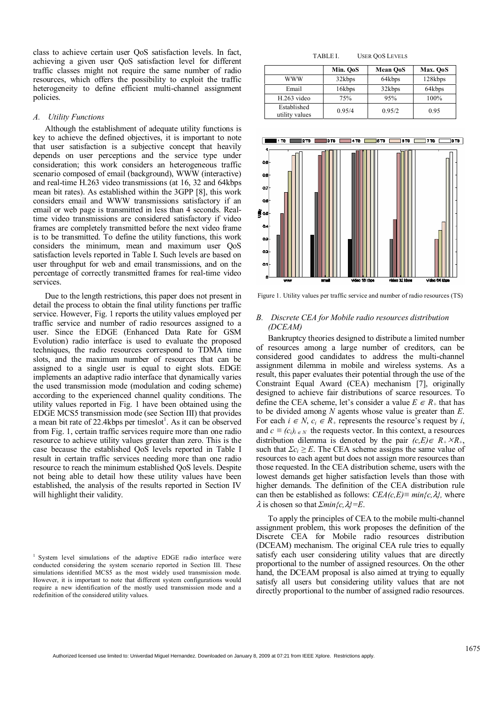class to achieve certain user QoS satisfaction levels. In fact, achieving a given user QoS satisfaction level for different traffic classes might not require the same number of radio resources, which offers the possibility to exploit the traffic heterogeneity to define efficient multi-channel assignment policies.

#### *A. Utility Functions*

Although the establishment of adequate utility functions is key to achieve the defined objectives, it is important to note that user satisfaction is a subjective concept that heavily depends on user perceptions and the service type under consideration; this work considers an heterogeneous traffic scenario composed of email (background), WWW (interactive) and real-time H.263 video transmissions (at 16, 32 and 64kbps mean bit rates). As established within the 3GPP [8], this work considers email and WWW transmissions satisfactory if an email or web page is transmitted in less than 4 seconds. Realtime video transmissions are considered satisfactory if video frames are completely transmitted before the next video frame is to be transmitted. To define the utility functions, this work considers the minimum, mean and maximum user QoS satisfaction levels reported in Table I. Such levels are based on user throughput for web and email transmissions, and on the percentage of correctly transmitted frames for real-time video services.

Due to the length restrictions, this paper does not present in detail the process to obtain the final utility functions per traffic service. However, Fig. 1 reports the utility values employed per traffic service and number of radio resources assigned to a user. Since the EDGE (Enhanced Data Rate for GSM Evolution) radio interface is used to evaluate the proposed techniques, the radio resources correspond to TDMA time slots, and the maximum number of resources that can be assigned to a single user is equal to eight slots. EDGE implements an adaptive radio interface that dynamically varies the used transmission mode (modulation and coding scheme) according to the experienced channel quality conditions. The utility values reported in Fig. 1 have been obtained using the EDGE MCS5 transmission mode (see Section III) that provides a mean bit rate of 22.4kbps per timeslot<sup>1</sup>. As it can be observed from Fig. 1, certain traffic services require more than one radio resource to achieve utility values greater than zero. This is the case because the established QoS levels reported in Table I result in certain traffic services needing more than one radio resource to reach the minimum established QoS levels. Despite not being able to detail how these utility values have been established, the analysis of the results reported in Section IV will highlight their validity.

| TABLE I. | <b>USER QOS LEVELS</b> |
|----------|------------------------|
|----------|------------------------|

|                               | Min. OoS | <b>Mean OoS</b> | Max. OoS |
|-------------------------------|----------|-----------------|----------|
| www                           | 32kbps   | 64kbps          | 128kbps  |
| Email                         | 16kbps   | 32kbps          | 64kbps   |
| H.263 video                   | 75%      | 95%             | 100%     |
| Established<br>utility values | 0.95/4   | 0.95/2          | 0.95     |



Figure 1. Utility values per traffic service and number of radio resources (TS)

## *B. Discrete CEA for Mobile radio resources distribution (DCEAM)*

Bankruptcy theories designed to distribute a limited number of resources among a large number of creditors, can be considered good candidates to address the multi-channel assignment dilemma in mobile and wireless systems. As a result, this paper evaluates their potential through the use of the Constraint Equal Award (CEA) mechanism [7], originally designed to achieve fair distributions of scarce resources. To define the CEA scheme, let's consider a value  $E \in R_+$  that has to be divided among *N* agents whose value is greater than *E*. For each  $i \in N$ ,  $c_i \in R_+$  represents the resource's request by *i*, and  $c \equiv (c_i)_{i \in N}$  the requests vector. In this context, a resources distribution dilemma is denoted by the pair  $(c,E) \in R_+ \times R_+$ , such that  $\Sigma c_i \geq E$ . The CEA scheme assigns the same value of resources to each agent but does not assign more resources than those requested. In the CEA distribution scheme, users with the lowest demands get higher satisfaction levels than those with higher demands. The definition of the CEA distribution rule can then be established as follows:  $CEA(c, E) \equiv min\{c, \lambda\}$ , where  $\lambda$  is chosen so that  $\sum min\{c, \lambda\} = E$ .

To apply the principles of CEA to the mobile multi-channel assignment problem, this work proposes the definition of the Discrete CEA for Mobile radio resources distribution (DCEAM) mechanism. The original CEA rule tries to equally satisfy each user considering utility values that are directly proportional to the number of assigned resources. On the other hand, the DCEAM proposal is also aimed at trying to equally satisfy all users but considering utility values that are not directly proportional to the number of assigned radio resources.

<sup>&</sup>lt;sup>1</sup> System level simulations of the adaptive EDGE radio interface were conducted considering the system scenario reported in Section III. These simulations identified MCS5 as the most widely used transmission mode. However, it is important to note that different system configurations would require a new identification of the mostly used transmission mode and a redefinition of the considered utility values.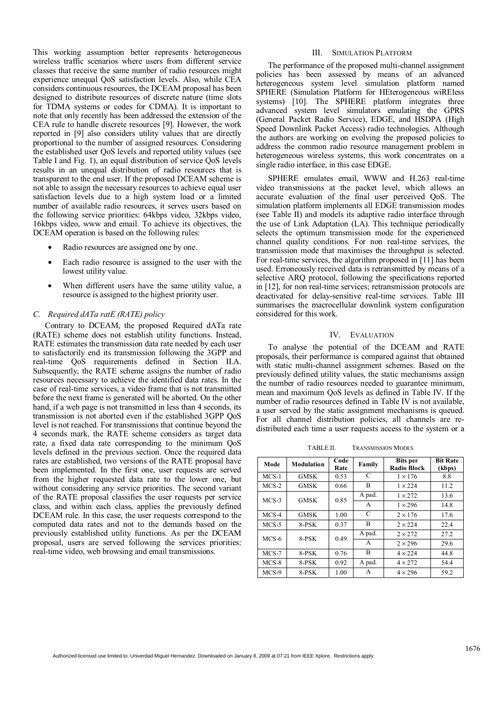This working assumption better represents heterogeneous wireless traffic scenarios where users from different service classes that receive the same number of radio resources might experience unequal QoS satisfaction levels. Also, while CEA considers continuous resources, the DCEAM proposal has been designed to distribute resources of discrete nature (time slots for TDMA systems or codes for CDMA). It is important to note that only recently has been addressed the extension of the CEA rule to handle discrete resources [9]. However, the work reported in [9] also considers utility values that are directly proportional to the number of assigned resources. Considering the established user QoS levels and reported utility values (see Table I and Fig. 1), an equal distribution of service QoS levels results in an unequal distribution of radio resources that is transparent to the end user. If the proposed DCEAM scheme is not able to assign the necessary resources to achieve equal user satisfaction levels due to a high system load or a limited number of available radio resources, it serves users based on the following service priorities: 64kbps video, 32kbps video, 16kbps video, www and email. To achieve its objectives, the DCEAM operation is based on the following rules:

- Radio resources are assigned one by one.
- Each radio resource is assigned to the user with the lowest utility value.
- When different users have the same utility value, a resource is assigned to the highest priority user.

## *C. Required dATa ratE (RATE) policy*

Contrary to DCEAM, the proposed Required dATa rate (RATE) scheme does not establish utility functions. Instead, RATE estimates the transmission data rate needed by each user to satisfactorily end its transmission following the 3GPP and real-time QoS requirements defined in Section II.A. Subsequently, the RATE scheme assigns the number of radio resources necessary to achieve the identified data rates. In the case of real-time services, a video frame that is not transmitted before the next frame is generated will be aborted. On the other hand, if a web page is not transmitted in less than 4 seconds, its transmission is not aborted even if the established 3GPP QoS level is not reached. For transmissions that continue beyond the 4 seconds mark, the RATE scheme considers as target data rate, a fixed data rate corresponding to the minimum QoS levels defined in the previous section. Once the required data rates are established, two versions of the RATE proposal have been implemented. In the first one, user requests are served from the higher requested data rate to the lower one, but without considering any service priorities. The second variant of the RATE proposal classifies the user requests per service class, and within each class, applies the previously defined DCEAM rule. In this case, the user requests correspond to the computed data rates and not to the demands based on the previously established utility functions. As per the DCEAM proposal, users are served following the services priorities: real-time video, web browsing and email transmissions.

### III. SIMULATION PLATFORM

The performance of the proposed multi-channel assignment policies has been assessed by means of an advanced heterogeneous system level simulation platform named SPHERE (Simulation Platform for HEterogeneous wiREless systems) [10]. The SPHERE platform integrates three advanced system level simulators emulating the GPRS (General Packet Radio Service), EDGE, and HSDPA (High Speed Downlink Packet Access) radio technologies. Although the authors are working on evolving the proposed policies to address the common radio resource management problem in heterogeneous wireless systems, this work concentrates on a single radio interface, in this case EDGE.

SPHERE emulates email, WWW and H.263 real-time video transmissions at the packet level, which allows an accurate evaluation of the final user perceived QoS. The simulation platform implements all EDGE transmission modes (see Table II) and models its adaptive radio interface through the use of Link Adaptation (LA). This technique periodically selects the optimum transmission mode for the experienced channel quality conditions. For non real-time services, the transmission mode that maximises the throughput is selected. For real-time services, the algorithm proposed in [11] has been used. Erroneously received data is retransmitted by means of a selective ARQ protocol, following the specifications reported in [12], for non real-time services; retransmission protocols are deactivated for delay-sensitive real-time services. Table III summarises the macrocellular downlink system configuration considered for this work.

#### IV. EVALUATION

To analyse the potential of the DCEAM and RATE proposals, their performance is compared against that obtained with static multi-channel assignment schemes. Based on the previously defined utility values, the static mechanisms assign the number of radio resources needed to guarantee minimum, mean and maximum QoS levels as defined in Table IV. If the number of radio resources defined in Table IV is not available, a user served by the static assignment mechanisms is queued. For all channel distribution policies, all channels are redistributed each time a user requests access to the system or a

TABLE II. TRANSMISSION MODES

| Mode    | Modulation  | Code<br>Rate | Family | <b>Bits</b> per<br><b>Radio Block</b> | <b>Bit Rate</b><br>(kbps) |
|---------|-------------|--------------|--------|---------------------------------------|---------------------------|
| $MCS-1$ | <b>GMSK</b> | 0.53         | C      | $1 \times 176$                        | 8.8                       |
| $MCS-2$ | <b>GMSK</b> | 0.66         | B      | $1 \times 224$                        | 11.2                      |
|         | <b>GMSK</b> | 0.85         | A pad. | $1 \times 272$                        | 13.6                      |
| $MCS-3$ |             |              | A      | $1 \times 296$                        | 14.8                      |
| $MCS-4$ | <b>GMSK</b> | 1.00         | C      | $2 \times 176$                        | 17.6                      |
| MCS-5   | 8-PSK       | 0.37         | B      | $2 \times 224$                        | 22.4                      |
| $MCS-6$ | 8-PSK       | 0.49         | A pad. | $2 \times 272$                        | 27.2                      |
|         |             |              | A      | $2 \times 296$                        | 29.6                      |
| MCS-7   | 8-PSK       | 0.76         | B      | $4 \times 224$                        | 44.8                      |
| $MCS-8$ | 8-PSK       | 0.92         | A pad. | $4 \times 272$                        | 54.4                      |
| MCS-9   | 8-PSK       | 1.00         | A      | $4 \times 296$                        | 59.2                      |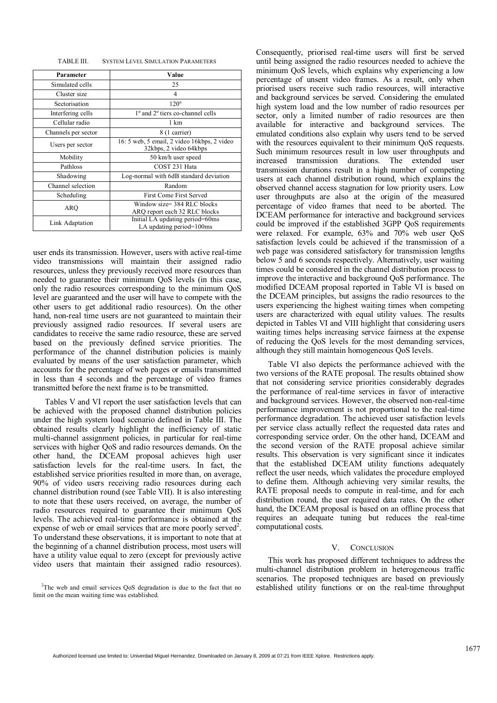| Parameter           | Value                                                                 |  |
|---------------------|-----------------------------------------------------------------------|--|
| Simulated cells     | 25                                                                    |  |
| Cluster size        | 4                                                                     |  |
| Sectorisation       | $120^\circ$                                                           |  |
| Interfering cells   | 1 <sup>°</sup> and 2 <sup>°</sup> tiers co-channel cells              |  |
| Cellular radio      | 1 km<br>8 (1 carrier)                                                 |  |
| Channels per sector |                                                                       |  |
| Users per sector    | 16: 5 web, 5 email, 2 video 16kbps, 2 video<br>32kbps, 2 video 64kbps |  |
| Mobility            | 50 km/h user speed                                                    |  |
| Pathloss            | COST 231 Hata                                                         |  |
| Shadowing           | Log-normal with 6dB standard deviation                                |  |
| Channel selection   | Random                                                                |  |
| Scheduling          | First Come First Served                                               |  |
| ARO                 | Window size= 384 RLC blocks<br>ARO report each 32 RLC blocks          |  |
| Link Adaptation     | Initial LA updating period=60ms<br>LA updating period=100ms           |  |

user ends its transmission. However, users with active real-time video transmissions will maintain their assigned radio resources, unless they previously received more resources than needed to guarantee their minimum QoS levels (in this case, only the radio resources corresponding to the minimum QoS level are guaranteed and the user will have to compete with the other users to get additional radio resources). On the other hand, non-real time users are not guaranteed to maintain their previously assigned radio resources. If several users are candidates to receive the same radio resource, these are served based on the previously defined service priorities. The performance of the channel distribution policies is mainly evaluated by means of the user satisfaction parameter, which accounts for the percentage of web pages or emails transmitted in less than 4 seconds and the percentage of video frames transmitted before the next frame is to be transmitted.

Tables V and VI report the user satisfaction levels that can be achieved with the proposed channel distribution policies under the high system load scenario defined in Table III. The obtained results clearly highlight the inefficiency of static multi-channel assignment policies, in particular for real-time services with higher QoS and radio resources demands. On the other hand, the DCEAM proposal achieves high user satisfaction levels for the real-time users. In fact, the established service priorities resulted in more than, on average, 90% of video users receiving radio resources during each channel distribution round (see Table VII). It is also interesting to note that these users received, on average, the number of radio resources required to guarantee their minimum QoS levels. The achieved real-time performance is obtained at the expense of web or email services that are more poorly served<sup>2</sup>. To understand these observations, it is important to note that at the beginning of a channel distribution process, most users will have a utility value equal to zero (except for previously active video users that maintain their assigned radio resources).

<sup>2</sup>The web and email services QoS degradation is due to the fact that no limit on the mean waiting time was established.

Consequently, priorised real-time users will first be served until being assigned the radio resources needed to achieve the minimum QoS levels, which explains why experiencing a low percentage of unsent video frames. As a result, only when priorised users receive such radio resources, will interactive and background services be served. Considering the emulated high system load and the low number of radio resources per sector, only a limited number of radio resources are then available for interactive and background services. The emulated conditions also explain why users tend to be served with the resources equivalent to their minimum QoS requests. Such minimum resources result in low user throughputs and increased transmission durations. The extended user increased transmission durations. transmission durations result in a high number of competing users at each channel distribution round, which explains the observed channel access stagnation for low priority users. Low user throughputs are also at the origin of the measured percentage of video frames that need to be aborted. The DCEAM performance for interactive and background services could be improved if the established 3GPP QoS requirements were relaxed. For example, 63% and 70% web user QoS satisfaction levels could be achieved if the transmission of a web page was considered satisfactory for transmission lengths below 5 and 6 seconds respectively. Alternatively, user waiting times could be considered in the channel distribution process to improve the interactive and background QoS performance. The modified DCEAM proposal reported in Table VI is based on the DCEAM principles, but assigns the radio resources to the users experiencing the highest waiting times when competing users are characterized with equal utility values. The results depicted in Tables VI and VIII highlight that considering users waiting times helps increasing service fairness at the expense of reducing the QoS levels for the most demanding services, although they still maintain homogeneous QoS levels.

Table VI also depicts the performance achieved with the two versions of the RATE proposal. The results obtained show that not considering service priorities considerably degrades the performance of real-time services in favor of interactive and background services. However, the observed non-real-time performance improvement is not proportional to the real-time performance degradation. The achieved user satisfaction levels per service class actually reflect the requested data rates and corresponding service order. On the other hand, DCEAM and the second version of the RATE proposal achieve similar results. This observation is very significant since it indicates that the established DCEAM utility functions adequately reflect the user needs, which validates the procedure employed to define them. Although achieving very similar results, the RATE proposal needs to compute in real-time, and for each distribution round, the user required data rates. On the other hand, the DCEAM proposal is based on an offline process that requires an adequate tuning but reduces the real-time computational costs.

#### V. CONCLUSION

This work has proposed different techniques to address the multi-channel distribution problem in heterogeneous traffic scenarios. The proposed techniques are based on previously established utility functions or on the real-time throughput